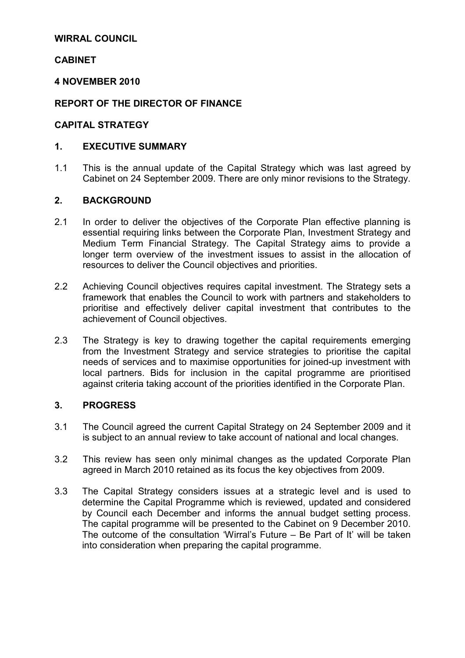#### WIRRAL COUNCIL

#### **CABINET**

#### 4 NOVEMBER 2010

#### REPORT OF THE DIRECTOR OF FINANCE

#### CAPITAL STRATEGY

#### 1. EXECUTIVE SUMMARY

1.1 This is the annual update of the Capital Strategy which was last agreed by Cabinet on 24 September 2009. There are only minor revisions to the Strategy.

#### 2. BACKGROUND

- 2.1 In order to deliver the objectives of the Corporate Plan effective planning is essential requiring links between the Corporate Plan, Investment Strategy and Medium Term Financial Strategy. The Capital Strategy aims to provide a longer term overview of the investment issues to assist in the allocation of resources to deliver the Council objectives and priorities.
- 2.2 Achieving Council objectives requires capital investment. The Strategy sets a framework that enables the Council to work with partners and stakeholders to prioritise and effectively deliver capital investment that contributes to the achievement of Council objectives.
- 2.3 The Strategy is key to drawing together the capital requirements emerging from the Investment Strategy and service strategies to prioritise the capital needs of services and to maximise opportunities for joined-up investment with local partners. Bids for inclusion in the capital programme are prioritised against criteria taking account of the priorities identified in the Corporate Plan.

#### 3. PROGRESS

- 3.1 The Council agreed the current Capital Strategy on 24 September 2009 and it is subject to an annual review to take account of national and local changes.
- 3.2 This review has seen only minimal changes as the updated Corporate Plan agreed in March 2010 retained as its focus the key objectives from 2009.
- 3.3 The Capital Strategy considers issues at a strategic level and is used to determine the Capital Programme which is reviewed, updated and considered by Council each December and informs the annual budget setting process. The capital programme will be presented to the Cabinet on 9 December 2010. The outcome of the consultation 'Wirral's Future – Be Part of It' will be taken into consideration when preparing the capital programme.